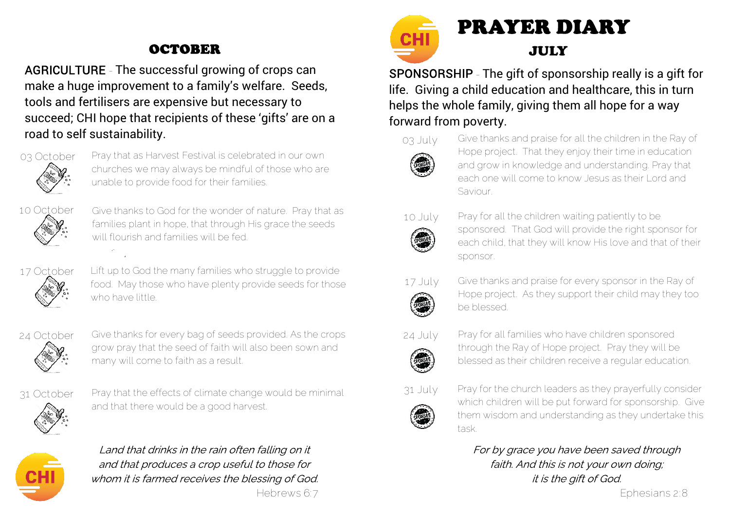## **OCTOBER**

AGRICULTURE - The successful growing of crops can make a huge improvement to a family's welfare. Seeds, tools and fertilisers are expensive but necessary to succeed; CHI hope that recipients of these 'gifts' are on a road to self sustainability.



Pray that as Harvest Festival is celebrated in our own churches we may always be mindful of those who are unable to provide food for their families.



Give thanks to God for the wonder of nature. Pray that as families plant in hope, that through His grace the seeds will flourish and families will be fed.



Lift up to God the many families who struggle to provide food. May those who have plenty provide seeds for those who have little.



Give thanks for every bag of seeds provided. As the crops grow pray that the seed of faith will also been sown and many will come to faith as a result.



Pray that the effects of climate change would be minimal and that there would be a good harvest.



Land that drinks in the rain often falling on it and that produces a crop useful to those for whom it is farmed receives the blessing of God.



SPONSORSHIP - The gift of sponsorship really is a gift for life. Giving a child education and healthcare, this in turn helps the whole family, giving them all hope for a way forward from poverty.



Give thanks and praise for all the children in the Ray of Hope project. That they enjoy their time in education and grow in knowledge and understanding. Pray that each one will come to know Jesus as their Lord and Saviour.



Pray for all the children waiting patiently to be sponsored. That God will provide the right sponsor for each child, that they will know His love and that of their sponsor.



- Give thanks and praise for every sponsor in the Ray of Hope project. As they support their child may they too be blessed.
- 24 July
- Pray for all families who have children sponsored through the Ray of Hope project. Pray they will be blessed as their children receive a regular education.



Pray for the church leaders as they prayerfully consider which children will be put forward for sponsorship. Give them wisdom and understanding as they undertake this task.

For by grace you have been saved through faith. And this is not your own doing: it is the gift of God.

Hebrews 6:7 Ephesians 2:8